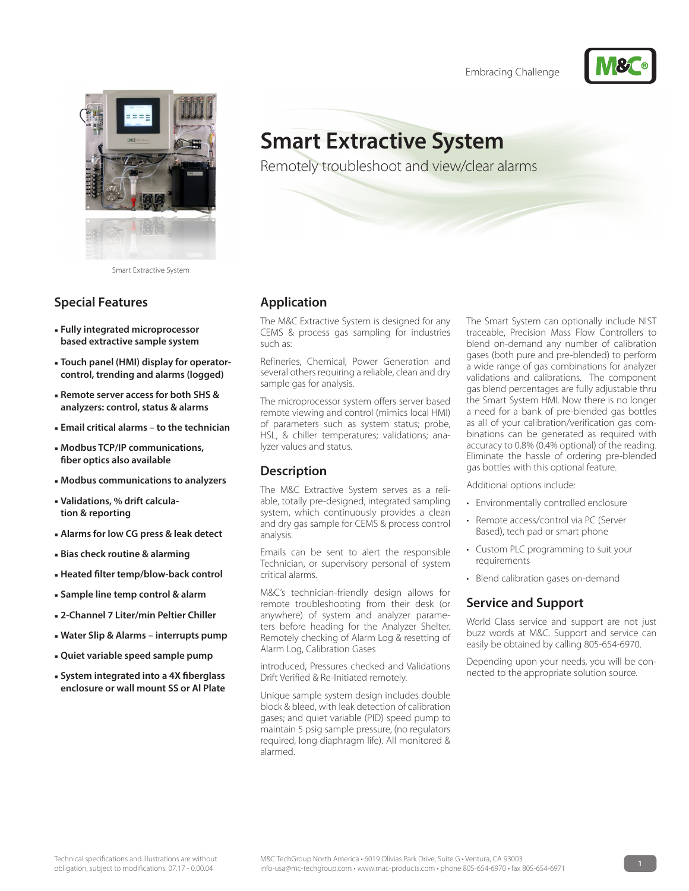Embracing Challenge





Smart Extractive System

## **Special Features**

- **Fully integrated microprocessor based extractive sample system**
- **Touch panel (HMI) display for operatorcontrol, trending and alarms (logged)**
- **Remote server access for both SHS & analyzers: control, status & alarms**
- **Email critical alarms to the technician**
- **Modbus TCP/IP communications, fiber optics also available**
- **Modbus communications to analyzers**
- **Validations, % drift calculation & reporting**
- **Alarms for low CG press & leak detect**
- **Bias check routine & alarming**
- **Heated filter temp/blow-back control**
- **Sample line temp control & alarm**
- **2-Channel 7 Liter/min Peltier Chiller**
- **Water Slip & Alarms interrupts pump**
- **Quiet variable speed sample pump**
- **System integrated into a 4X fiberglass enclosure or wall mount SS or Al Plate**

# **Smart Extractive System**

Remotely troubleshoot and view/clear alarms



The M&C Extractive System is designed for any CEMS & process gas sampling for industries such as:

Refineries, Chemical, Power Generation and several others requiring a reliable, clean and dry sample gas for analysis.

The microprocessor system offers server based remote viewing and control (mimics local HMI) of parameters such as system status; probe, HSL, & chiller temperatures; validations; analyzer values and status.

#### **Description**

The M&C Extractive System serves as a reliable, totally pre-designed, integrated sampling system, which continuously provides a clean and dry gas sample for CEMS & process control analysis.

Emails can be sent to alert the responsible Technician, or supervisory personal of system critical alarms.

M&C's technician-friendly design allows for remote troubleshooting from their desk (or anywhere) of system and analyzer parameters before heading for the Analyzer Shelter. Remotely checking of Alarm Log & resetting of Alarm Log, Calibration Gases

introduced, Pressures checked and Validations Drift Verified & Re-Initiated remotely.

Unique sample system design includes double block & bleed, with leak detection of calibration gases; and quiet variable (PID) speed pump to maintain 5 psig sample pressure, (no regulators required, long diaphragm life). All monitored & alarmed.

The Smart System can optionally include NIST traceable, Precision Mass Flow Controllers to blend on-demand any number of calibration gases (both pure and pre-blended) to perform a wide range of gas combinations for analyzer validations and calibrations. The component gas blend percentages are fully adjustable thru the Smart System HMI. Now there is no longer a need for a bank of pre-blended gas bottles as all of your calibration/verification gas combinations can be generated as required with accuracy to 0.8% (0.4% optional) of the reading. Eliminate the hassle of ordering pre-blended gas bottles with this optional feature.

Additional options include:

- Environmentally controlled enclosure
- Remote access/control via PC (Server Based), tech pad or smart phone
- Custom PLC programming to suit your requirements
- Blend calibration gases on-demand

#### **Service and Support**

World Class service and support are not just buzz words at M&C. Support and service can easily be obtained by calling 805-654-6970.

Depending upon your needs, you will be connected to the appropriate solution source.